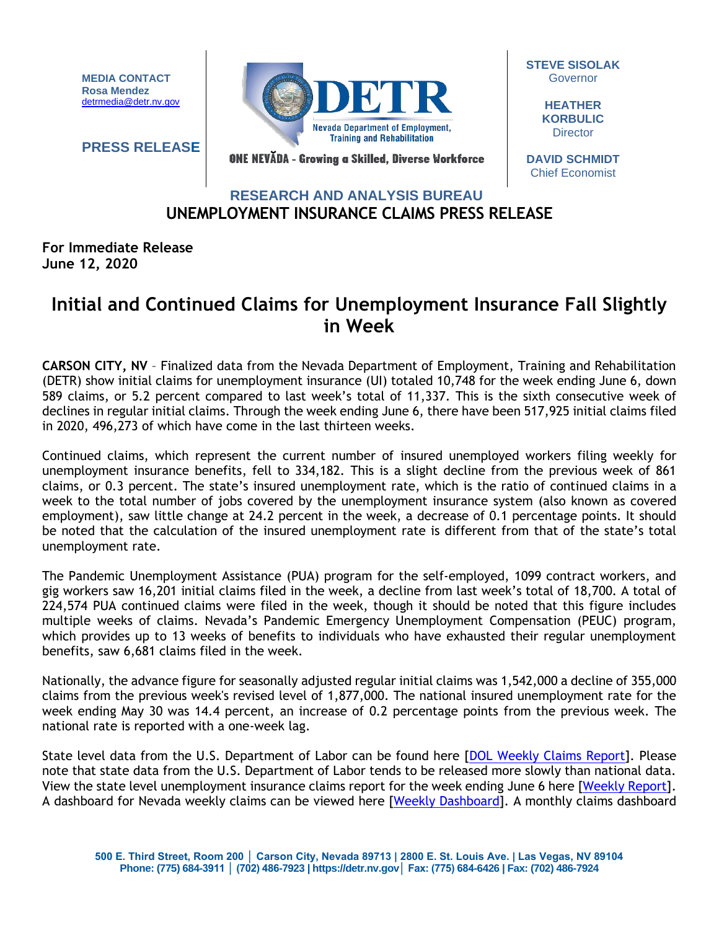**MEDIA CONTACT Rosa Mendez** [detrmedia@detr.nv.gov](mailto:detrmedia@detr.nv.gov)

**PRESS RELEASE**



**STEVE SISOLAK Governor** 

> **HEATHER KORBULIC Director**

ONE NEVĂDA - Growing a Skilled, Diverse Workforce

**DAVID SCHMIDT** Chief Economist

## **UNEMPLOYMENT INSURANCE CLAIMS PRESS RELEASE RESEARCH AND ANALYSIS BUREAU**

**For Immediate Release June 12, 2020**

## **Initial and Continued Claims for Unemployment Insurance Fall Slightly in Week**

**CARSON CITY, NV** – Finalized data from the Nevada Department of Employment, Training and Rehabilitation (DETR) show initial claims for unemployment insurance (UI) totaled 10,748 for the week ending June 6, down 589 claims, or 5.2 percent compared to last week's total of 11,337. This is the sixth consecutive week of declines in regular initial claims. Through the week ending June 6, there have been 517,925 initial claims filed in 2020, 496,273 of which have come in the last thirteen weeks.

Continued claims, which represent the current number of insured unemployed workers filing weekly for unemployment insurance benefits, fell to 334,182. This is a slight decline from the previous week of 861 claims, or 0.3 percent. The state's insured unemployment rate, which is the ratio of continued claims in a week to the total number of jobs covered by the unemployment insurance system (also known as covered employment), saw little change at 24.2 percent in the week, a decrease of 0.1 percentage points. It should be noted that the calculation of the insured unemployment rate is different from that of the state's total unemployment rate.

The Pandemic Unemployment Assistance (PUA) program for the self-employed, 1099 contract workers, and gig workers saw 16,201 initial claims filed in the week, a decline from last week's total of 18,700. A total of 224,574 PUA continued claims were filed in the week, though it should be noted that this figure includes multiple weeks of claims. Nevada's Pandemic Emergency Unemployment Compensation (PEUC) program, which provides up to 13 weeks of benefits to individuals who have exhausted their regular unemployment benefits, saw 6,681 claims filed in the week.

Nationally, the advance figure for seasonally adjusted regular initial claims was 1,542,000 a decline of 355,000 claims from the previous week's revised level of 1,877,000. The national insured unemployment rate for the week ending May 30 was 14.4 percent, an increase of 0.2 percentage points from the previous week. The national rate is reported with a one-week lag.

State level data from the U.S. Department of Labor can be found here [\[DOL Weekly Claims Report\]](https://oui.doleta.gov/unemploy/claims_arch.asp). Please note that state data from the U.S. Department of Labor tends to be released more slowly than national data. View the state level unemployment insurance claims report for the week ending June 6 here [\[Weekly Report\]](http://nvlmi.mt.gov/Portals/197/UI%20Monthly%20Claims%20Press%20Release/Dashboards/State%20of%20Nevada%20UI%20Weekly%20Filing%20Report.pdf). A dashboard for Nevada weekly claims can be viewed here [\[Weekly Dashboard\]](http://nvlmi.mt.gov/Portals/197/UI%20Monthly%20Claims%20Press%20Release/Dashboards/UIWeeklyDashboard.html). A monthly claims dashboard